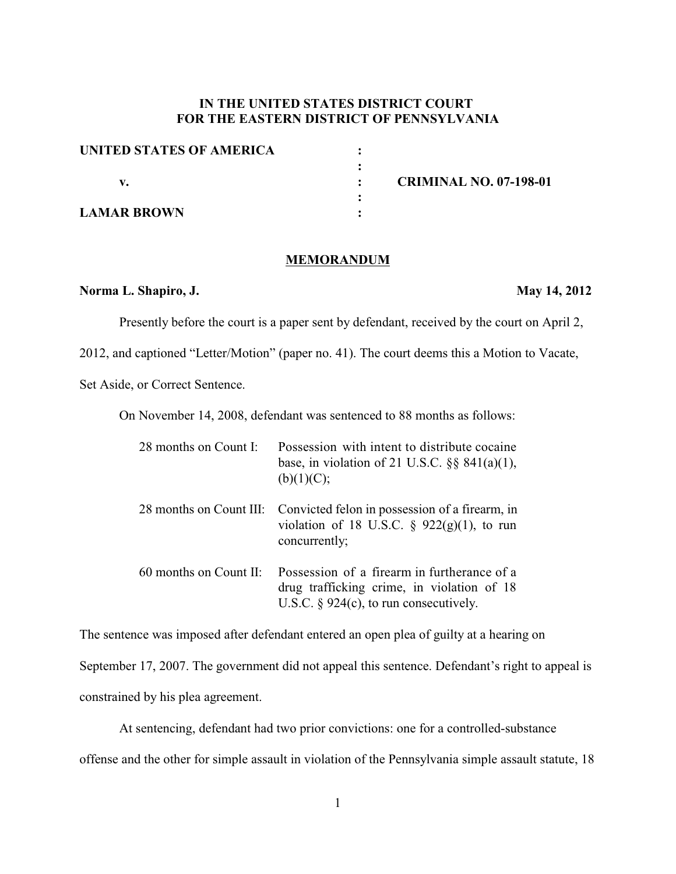# **IN THE UNITED STATES DISTRICT COURT FOR THE EASTERN DISTRICT OF PENNSYLVANIA**

| UNITED STATES OF AMERICA |  |
|--------------------------|--|
|                          |  |
|                          |  |
|                          |  |
| <b>LAMAR BROWN</b>       |  |

**v. : CRIMINAL NO. 07-198-01**

### **MEMORANDUM**

## **Norma L. Shapiro, J. May 14, 2012**

Presently before the court is a paper sent by defendant, received by the court on April 2,

2012, and captioned "Letter/Motion" (paper no. 41). The court deems this a Motion to Vacate,

Set Aside, or Correct Sentence.

On November 14, 2008, defendant was sentenced to 88 months as follows:

| 28 months on Count I:  | Possession with intent to distribute cocaine<br>base, in violation of 21 U.S.C. $\S$ § 841(a)(1),<br>(b)(1)(C);                          |
|------------------------|------------------------------------------------------------------------------------------------------------------------------------------|
|                        | 28 months on Count III: Convicted felon in possession of a firearm, in<br>violation of 18 U.S.C. $\S$ 922(g)(1), to run<br>concurrently; |
| 60 months on Count II: | Possession of a firearm in furtherance of a<br>drug trafficking crime, in violation of 18<br>U.S.C. $\S$ 924(c), to run consecutively.   |

The sentence was imposed after defendant entered an open plea of guilty at a hearing on September 17, 2007. The government did not appeal this sentence. Defendant's right to appeal is constrained by his plea agreement.

At sentencing, defendant had two prior convictions: one for a controlled-substance offense and the other for simple assault in violation of the Pennsylvania simple assault statute, 18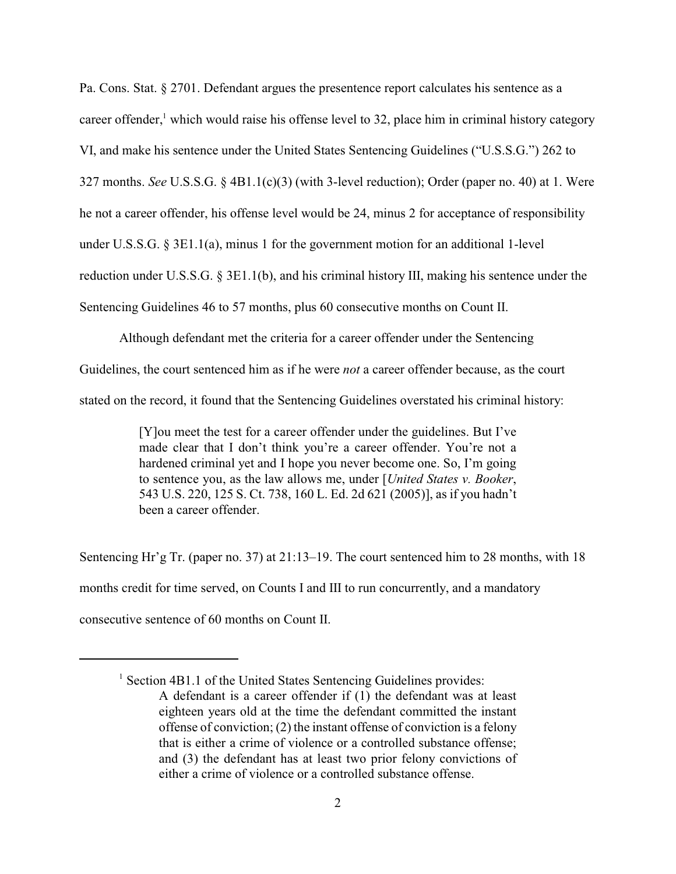Pa. Cons. Stat. § 2701. Defendant argues the presentence report calculates his sentence as a career offender, $<sup>1</sup>$  which would raise his offense level to 32, place him in criminal history category</sup> VI, and make his sentence under the United States Sentencing Guidelines ("U.S.S.G.") 262 to 327 months. *See* U.S.S.G. § 4B1.1(c)(3) (with 3-level reduction); Order (paper no. 40) at 1. Were he not a career offender, his offense level would be 24, minus 2 for acceptance of responsibility under U.S.S.G.  $\S 3E1.1(a)$ , minus 1 for the government motion for an additional 1-level reduction under U.S.S.G. § 3E1.1(b), and his criminal history III, making his sentence under the Sentencing Guidelines 46 to 57 months, plus 60 consecutive months on Count II.

Although defendant met the criteria for a career offender under the Sentencing Guidelines, the court sentenced him as if he were *not* a career offender because, as the court stated on the record, it found that the Sentencing Guidelines overstated his criminal history:

> [Y]ou meet the test for a career offender under the guidelines. But I've made clear that I don't think you're a career offender. You're not a hardened criminal yet and I hope you never become one. So, I'm going to sentence you, as the law allows me, under [*United States v. Booker*, 543 U.S. 220, 125 S. Ct. 738, 160 L. Ed. 2d 621 (2005)], as if you hadn't been a career offender.

Sentencing Hr'g Tr. (paper no. 37) at 21:13–19. The court sentenced him to 28 months, with 18 months credit for time served, on Counts I and III to run concurrently, and a mandatory consecutive sentence of 60 months on Count II.

 $<sup>1</sup>$  Section 4B1.1 of the United States Sentencing Guidelines provides:</sup> A defendant is a career offender if (1) the defendant was at least eighteen years old at the time the defendant committed the instant offense of conviction; (2) the instant offense of conviction is a felony that is either a crime of violence or a controlled substance offense; and (3) the defendant has at least two prior felony convictions of either a crime of violence or a controlled substance offense.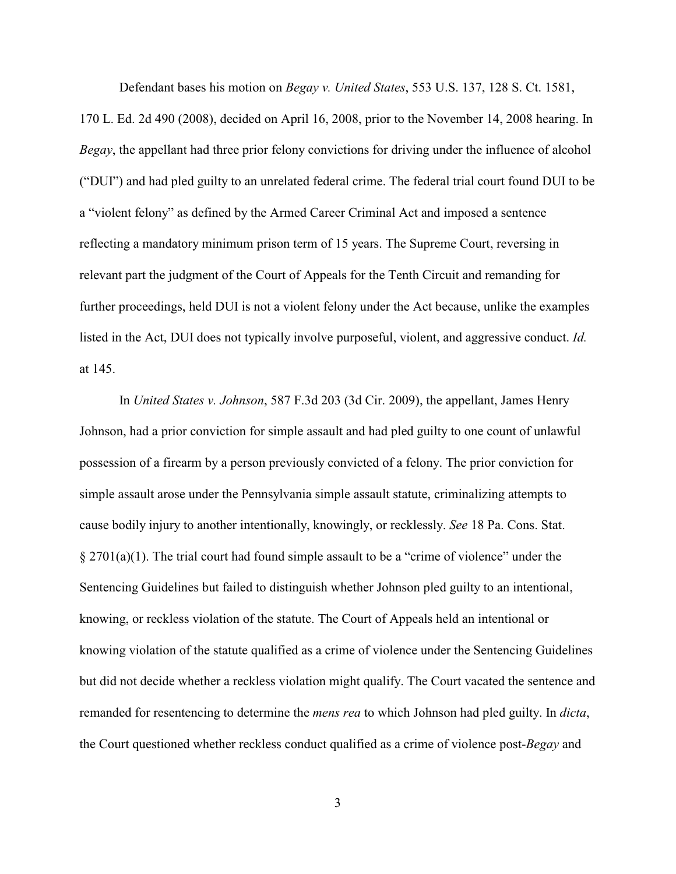Defendant bases his motion on *Begay v. United States*, 553 U.S. 137, 128 S. Ct. 1581,

170 L. Ed. 2d 490 (2008), decided on April 16, 2008, prior to the November 14, 2008 hearing. In *Begay*, the appellant had three prior felony convictions for driving under the influence of alcohol ("DUI") and had pled guilty to an unrelated federal crime. The federal trial court found DUI to be a "violent felony" as defined by the Armed Career Criminal Act and imposed a sentence reflecting a mandatory minimum prison term of 15 years. The Supreme Court, reversing in relevant part the judgment of the Court of Appeals for the Tenth Circuit and remanding for further proceedings, held DUI is not a violent felony under the Act because, unlike the examples listed in the Act, DUI does not typically involve purposeful, violent, and aggressive conduct. *Id.* at 145.

In *United States v. Johnson*, 587 F.3d 203 (3d Cir. 2009), the appellant, James Henry Johnson, had a prior conviction for simple assault and had pled guilty to one count of unlawful possession of a firearm by a person previously convicted of a felony. The prior conviction for simple assault arose under the Pennsylvania simple assault statute, criminalizing attempts to cause bodily injury to another intentionally, knowingly, or recklessly. *See* 18 Pa. Cons. Stat.  $\S 2701(a)(1)$ . The trial court had found simple assault to be a "crime of violence" under the Sentencing Guidelines but failed to distinguish whether Johnson pled guilty to an intentional, knowing, or reckless violation of the statute. The Court of Appeals held an intentional or knowing violation of the statute qualified as a crime of violence under the Sentencing Guidelines but did not decide whether a reckless violation might qualify. The Court vacated the sentence and remanded for resentencing to determine the *mens rea* to which Johnson had pled guilty. In *dicta*, the Court questioned whether reckless conduct qualified as a crime of violence post-*Begay* and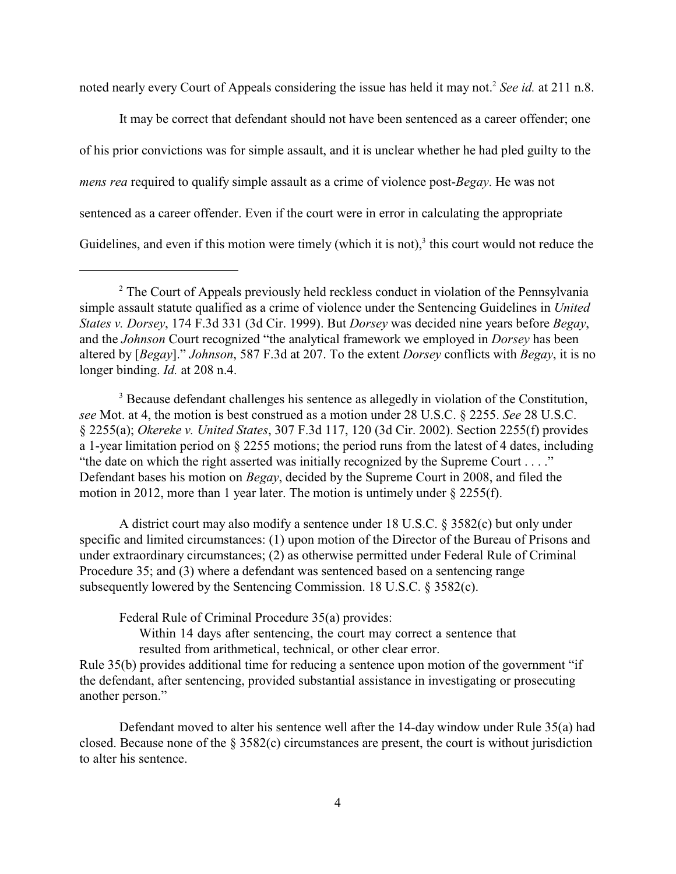noted nearly every Court of Appeals considering the issue has held it may not.<sup>2</sup> See id. at 211 n.8.

It may be correct that defendant should not have been sentenced as a career offender; one of his prior convictions was for simple assault, and it is unclear whether he had pled guilty to the *mens rea* required to qualify simple assault as a crime of violence post-*Begay*. He was not sentenced as a career offender. Even if the court were in error in calculating the appropriate Guidelines, and even if this motion were timely (which it is not), $3$  this court would not reduce the

<sup>3</sup> Because defendant challenges his sentence as allegedly in violation of the Constitution, *see* Mot. at 4, the motion is best construed as a motion under 28 U.S.C. § 2255. *See* 28 U.S.C. § 2255(a); *Okereke v. United States*, 307 F.3d 117, 120 (3d Cir. 2002). Section 2255(f) provides a 1-year limitation period on § 2255 motions; the period runs from the latest of 4 dates, including "the date on which the right asserted was initially recognized by the Supreme Court . . . ." Defendant bases his motion on *Begay*, decided by the Supreme Court in 2008, and filed the motion in 2012, more than 1 year later. The motion is untimely under § 2255(f).

A district court may also modify a sentence under 18 U.S.C. § 3582(c) but only under specific and limited circumstances: (1) upon motion of the Director of the Bureau of Prisons and under extraordinary circumstances; (2) as otherwise permitted under Federal Rule of Criminal Procedure 35; and (3) where a defendant was sentenced based on a sentencing range subsequently lowered by the Sentencing Commission. 18 U.S.C. § 3582(c).

Federal Rule of Criminal Procedure 35(a) provides:

Within 14 days after sentencing, the court may correct a sentence that resulted from arithmetical, technical, or other clear error.

Rule 35(b) provides additional time for reducing a sentence upon motion of the government "if the defendant, after sentencing, provided substantial assistance in investigating or prosecuting another person."

Defendant moved to alter his sentence well after the 14-day window under Rule 35(a) had closed. Because none of the § 3582(c) circumstances are present, the court is without jurisdiction to alter his sentence.

<sup>&</sup>lt;sup>2</sup> The Court of Appeals previously held reckless conduct in violation of the Pennsylvania simple assault statute qualified as a crime of violence under the Sentencing Guidelines in *United States v. Dorsey*, 174 F.3d 331 (3d Cir. 1999). But *Dorsey* was decided nine years before *Begay*, and the *Johnson* Court recognized "the analytical framework we employed in *Dorsey* has been altered by [*Begay*]." *Johnson*, 587 F.3d at 207. To the extent *Dorsey* conflicts with *Begay*, it is no longer binding. *Id.* at 208 n.4.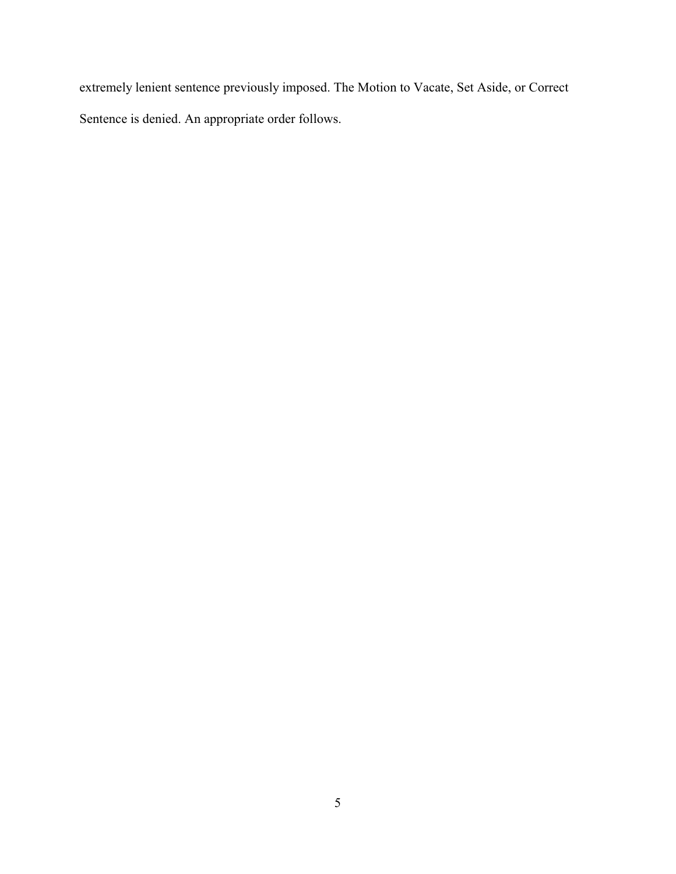extremely lenient sentence previously imposed. The Motion to Vacate, Set Aside, or Correct Sentence is denied. An appropriate order follows.